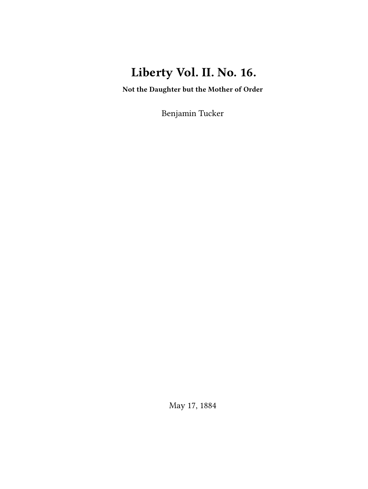# **Liberty Vol. II. No. 16.**

**Not the Daughter but the Mother of Order**

Benjamin Tucker

May 17, 1884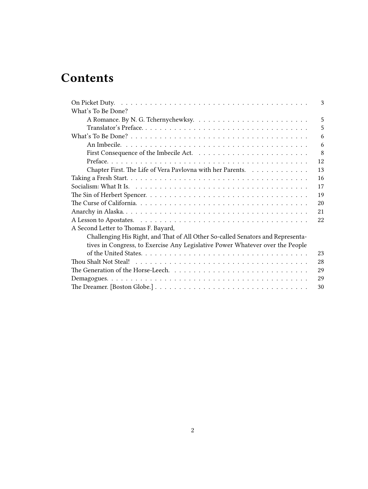# **Contents**

|                                                                                 | 3  |
|---------------------------------------------------------------------------------|----|
| What's To Be Done?                                                              |    |
|                                                                                 | 5  |
|                                                                                 | 5  |
|                                                                                 | 6  |
|                                                                                 | 6  |
|                                                                                 | 8  |
|                                                                                 | 12 |
| Chapter First. The Life of Vera Pavlovna with her Parents.                      | 13 |
|                                                                                 | 16 |
|                                                                                 | 17 |
|                                                                                 | 19 |
|                                                                                 | 20 |
|                                                                                 | 21 |
|                                                                                 | 22 |
| A Second Letter to Thomas F. Bayard,                                            |    |
| Challenging His Right, and That of All Other So-called Senators and Representa- |    |
| tives in Congress, to Exercise Any Legislative Power Whatever over the People   |    |
|                                                                                 | 23 |
|                                                                                 | 28 |
|                                                                                 | 29 |
|                                                                                 | 29 |
|                                                                                 | 30 |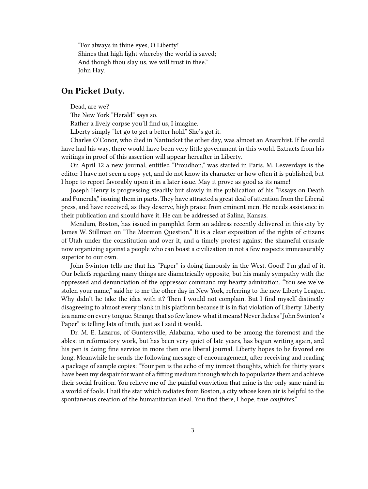"For always in thine eyes, O Liberty! Shines that high light whereby the world is saved; And though thou slay us, we will trust in thee." John Hay.

## <span id="page-2-0"></span>**On Picket Duty.**

Dead, are we?

The New York "Herald" says so.

Rather a lively corpse you'll find us, I imagine.

Liberty simply "let go to get a better hold." She's got it.

Charles O'Conor, who died in Nantucket the other day, was almost an Anarchist. If he could have had his way, there would have been very little government in this world. Extracts from his writings in proof of this assertion will appear hereafter in Liberty.

On April 12 a new journal, entitled "Proudhon," was started in Paris. M. Lesverdays is the editor. I have not seen a copy yet, and do not know its character or how often it is published, but I hope to report favorably upon it in a later issue. May it prove as good as its name!

Joseph Henry is progressing steadily but slowly in the publication of his "Essays on Death and Funerals," issuing them in parts. They have attracted a great deal of attention from the Liberal press, and have received, as they deserve, high praise from eminent men. He needs assistance in their publication and should have it. He can be addressed at Salina, Kansas.

Mendum, Boston, has issued in pamphlet form an address recently delivered in this city by James W. Stillman on "The Mormon Question." It is a clear exposition of the rights of citizens of Utah under the constitution and over it, and a timely protest against the shameful crusade now organizing against a people who can boast a civilization in not a few respects immeasurably superior to our own.

John Swinton tells me that his "Paper" is doing famously in the West. Good! I'm glad of it. Our beliefs regarding many things are diametrically opposite, but his manly sympathy with the oppressed and denunciation of the oppressor command my hearty admiration. "You see we've stolen your name," said he to me the other day in New York, referring to the new Liberty League. Why didn't he take the idea with it? Then I would not complain. But I find myself distinctly disagreeing to almost every plank in his platform because it is in fiat violation of Liberty. Liberty is a name on every tongue. Strange that so few know what it means! Nevertheless "John Swinton's Paper" is telling lats of truth, just as I said it would.

Dr. M. E. Lazarus, of Guntersville, Alabama, who used to be among the foremost and the ablest in reformatory work, but has been very quiet of late years, has begun writing again, and his pen is doing fine service in more then one liberal journal. Liberty hopes to be favored ere long. Meanwhile he sends the following message of encouragement, after receiving and reading a package of sample copies: "Your pen is the echo of my inmost thoughts, which for thirty years have been my despair for want of a fitting medium through which to popularize them and achieve their social fruition. You relieve me of the painful conviction that mine is the only sane mind in a world of fools. I hail the star which radiates from Boston, a city whose keen air is helpful to the spontaneous creation of the humanitarian ideal. You find there, I hope, true *confrères*."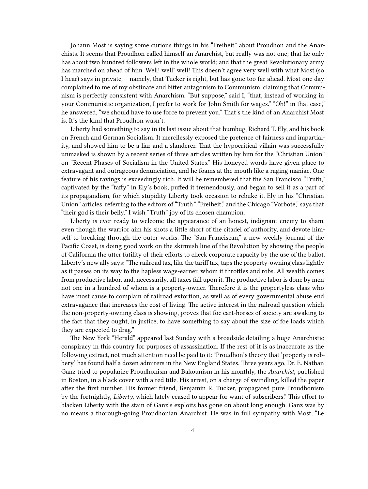Johann Most is saying some curious things in his "Freiheit" about Proudhon and the Anarchists. It seems that Proudhon called himself an Anarchist, but really was not one; that he only has about two hundred followers left in the whole world; and that the great Revolutionary army has marched on ahead of him. Well! well! well! This doesn't agree very well with what Most (so I hear) says in private,— namely, that Tucker is right, but has gone too far ahead. Most one day complained to me of my obstinate and bitter antagonism to Communism, claiming that Communism is perfectly consistent with Anarchism. "But suppose," said I, "that, instead of working in your Communistic organization, I prefer to work for John Smith for wages." "Oh!" in that case," he answered, "we should have to use force to prevent you." That's the kind of an Anarchist Most is. It's the kind that Proudhon wasn't.

Liberty had something to say in its last issue about that humbug, Richard T. Ely, and his book on French and German Socialism. It mercilessly exposed the pretence of fairness and impartiality, and showed him to be a liar and a slanderer. That the hypocritical villain was successfully unmasked is shown by a recent series of three articles written by him for the "Christian Union" on "Recent Phases of Socialism in the United States." His honeyed words have given place to extravagant and outrageous denunciation, and he foams at the mouth like a raging maniac. One feature of his ravings is exceedingly rich. It will be remembered that the San Francisco "Truth," captivated by the "taffy" in Ely's book, puffed it tremendously, and began to sell it as a part of its propagandism, for which stupidity Liberty took occasion to rebuke it. Ely in his "Christian Union" articles, referring to the editors of "Truth," "Freiheit," and the Chicago "Vorbote," says that "their god is their belly." I wish "Truth" joy of its chosen champion.

Liberty is ever ready to welcome the appearance of an honest, indignant enemy to sham, even though the warrior aim his shots a little short of the citadel of authority, and devote himself to breaking through the outer works. The "San Franciscan," a new weekly journal of the Pacific Coast, is doing good work on the skirmish line of the Revolution by showing the people of California the utter futility of their efforts to check corporate rapacity by the use of the ballot. Liberty's new ally says: "The railroad tax, like the tariff tax, taps the property-owning class lightly as it passes on its way to the hapless wage-earner, whom it throttles and robs. All wealth comes from productive labor, and, necessarily, all taxes fall upon it. The productive labor is done by men not one in a hundred of whom is a property-owner. Therefore it is the propertyless class who have most cause to complain of railroad extortion, as well as of every governmental abuse end extravagance that increases the cost of living. The active interest in the railroad question which the non-property-owning class is showing, proves that foe cart-horses of society are awaking to the fact that they ought, in justice, to have something to say about the size of foe loads which they are expected to drag."

The New York "Herald" appeared last Sunday with a broadside detailing a huge Anarchistic conspiracy in this country for purposes of assassination. If the rest of it is as inaccurate as the following extract, not much attention need be paid to it: "Proudhon's theory that 'property is robbery' has found half a dozen admirers in the New England States. Three years ago, Dr. E. Nathan Ganz tried to popularize Proudhonism and Bakounism in his monthly, the *Anarchist*, published in Boston, in a black cover with a red title. His arrest, on a charge of swindling, killed the paper after the first number. His former friend, Benjamin R. Tucker, propagated pure Proudhonism by the fortnightly, *Liberty*, which lately ceased to appear for want of subscribers." This effort to blacken Liberty with the stain of Ganz's exploits has gone on about long enough. Ganz was by no means a thorough-going Proudhonian Anarchist. He was in full sympathy with Most, "Le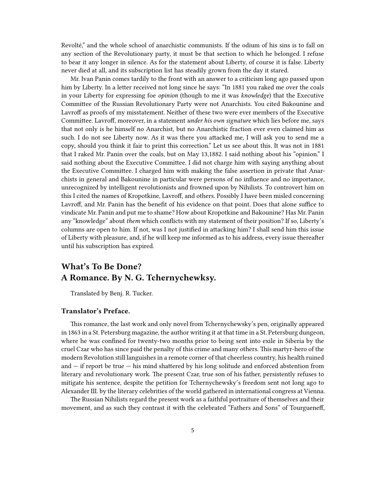Revolté," and the whole school of anarchistic communists. If the odium of his sins is to fall on any section of the Revolutionary party, it must be that section to which he belonged. I refuse to bear it any longer in silence. As for the statement about Liberty, of course it is false. Liberty never died at all, and its subscription list has steadily grown from the day it stared.

Mr. Ivan Panin comes tardily to the front with an answer to a criticism long ago passed upon him by Liberty. In a letter received not long since he says: "In 1881 you raked me over the coals in your Liberty for expressing foe *opinion* (though to me it was *knowledge*) that the Executive Committee of the Russian Revolutionary Party were not Anarchists. You cited Bakounine and Lavroff as proofs of my misstatement. Neither of these two were ever members of the Executive Committee. Lavroff, moreover, in a statement *under his own signature* which lies before me, says that not only is he himself no Anarchist, but no Anarchistic fraction ever even claimed him as such. I do not see Liberty now. As it was there you attacked me, I will ask you to send me a copy, should you think it fair to print this correction." Let us see about this. It was not in 1881 that I raked Mr. Panin over the coals, but on May 13,1882. I said nothing about his "opinion." I said nothing about the Executive Committee. I did not charge him with saying anything about the Executive Committee. I charged him with making the false assertion in private that Anarchists in general and Bakounine in particular were persons of no influence and no importance, unrecognized by intelligent revolutionists and frowned upon by Nihilists. To controvert him on this I cited the names of Kropotkine, Lavroff, and others. Possibly I have been misled concerning Lavroff, and Mr. Panin has the benefit of his evidence on that point. Does that alone suffice to vindicate Mr. Panin and put me to shame? How about Kropotkine and Bakounine? Has Mr. Panin any "knowledge" about *them* which conflicts with my statement of their position? If so, Liberty's columns are open to him. If not, was I not justified in attacking him? I shall send him this issue of Liberty with pleasure, and, if he will keep me informed as to his address, every issue thereafter until his subscription has expired.

## <span id="page-4-0"></span>**What's To Be Done? A Romance. By N. G. Tchernychewksy.**

Translated by Benj. R. Tucker.

#### <span id="page-4-1"></span>**Translator's Preface.**

This romance, the last work and only novel from Tchernychewsky's pen, originally appeared in 1863 in a St. Petersburg magazine, the author writing it at that time in a St. Petersburg dungeon, where he was confined for twenty-two months prior to being sent into exile in Siberia by the cruel Czar who has since paid the penalty of this crime and many others. This martyr-hero of the modern Revolution still languishes in a remote corner of that cheerless country, his health ruined and — if report be true — his mind shattered by his long solitude and enforced abstention from literary and revolutionary work. The present Czar, true son of his father, persistently refuses to mitigate his sentence, despite the petition for Tchernychewsky's freedom sent not long ago to Alexander III. by the literary celebrities of the world gathered in international congress at Vienna.

The Russian Nihilists regard the present work as a faithful portraiture of themselves and their movement, and as such they contrast it with the celebrated "Fathers and Sons" of Tourgueneff,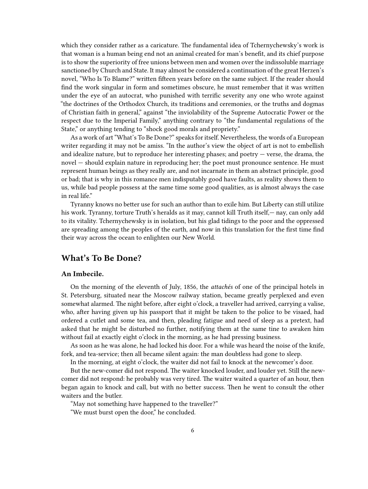which they consider rather as a caricature. The fundamental idea of Tchernychewsky's work is that woman is a human being end not an animal created for man's benefit, and its chief purpose is to show the superiority of free unions between men and women over the indissoluble marriage sanctioned by Church and State. It may almost be considered a continuation of the great Herzen's novel, "Who Is To Blame?" written fifteen years before on the same subject. If the reader should find the work singular in form and sometimes obscure, he must remember that it was written under the eye of an autocrat, who punished with terrific severity any one who wrote against "the doctrines of the Orthodox Church, its traditions and ceremonies, or the truths and dogmas of Christian faith in general," against "the inviolability of the Supreme Autocratic Power or the respect due to the Imperial Family," anything contrary to "the fundamental regulations of the State," or anything tending to "shock good morals and propriety."

As a work of art "What's To Be Done?" speaks for itself. Nevertheless, the words of a European writer regarding it may not be amiss. "In the author's view the object of art is not to embellish and idealize nature, but to reproduce her interesting phases; and poetry — verse, the drama, the novel — should explain nature in reproducing her; the poet must pronounce sentence. He must represent human beings as they really are, and not incarnate in them an abstract principle, good or bad; that is why in this romance men indisputably good have faults, as reality shows them to us, while bad people possess at the same time some good qualities, as is almost always the case in real life."

Tyranny knows no better use for such an author than to exile him. But Liberty can still utilize his work. Tyranny, torture Truth's heralds as it may, cannot kill Truth itself, — nay, can only add to its vitality. Tchernychewsky is in isolation, but his glad tidings to the poor and the oppressed are spreading among the peoples of the earth, and now in this translation for the first time find their way across the ocean to enlighten our New World.

## <span id="page-5-0"></span>**What's To Be Done?**

#### <span id="page-5-1"></span>**An Imbecile.**

On the morning of the eleventh of July, 1856, the *attachés* of one of the principal hotels in St. Petersburg, situated near the Moscow railway station, became greatly perplexed and even somewhat alarmed. The night before, after eight o'clock, a traveller had arrived, carrying a valise, who, after having given up his passport that it might be taken to the police to be visaed, had ordered a cutlet and some tea, and then, pleading fatigue and need of sleep as a pretext, had asked that he might be disturbed no further, notifying them at the same tine to awaken him without fail at exactly eight o'clock in the morning, as he had pressing business.

As soon as he was alone, he had locked his door. For a while was heard the noise of the knife, fork, and tea-service; then all became silent again: the man doubtless had gone to sleep.

In the morning, at eight o'clock, the waiter did not fail to knock at the newcomer's door.

But the new-comer did not respond. The waiter knocked louder, and louder yet. Still the newcomer did not respond: he probably was very tired. The waiter waited a quarter of an hour, then began again to knock and call, but with no better success. Then he went to consult the other waiters and the butler.

"May not something have happened to the traveller?"

"We must burst open the door," he concluded.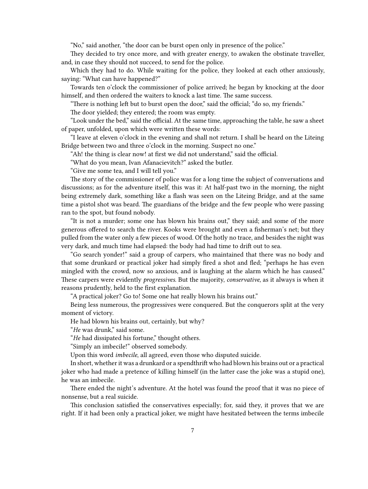"No," said another, "the door can be burst open only in presence of the police."

They decided to try once more, and with greater energy, to awaken the obstinate traveller, and, in case they should not succeed, to send for the police.

Which they had to do. While waiting for the police, they looked at each other anxiously, saying: "What can have happened?"

Towards ten o'clock the commissioner of police arrived; he began by knocking at the door himself, and then ordered the waiters to knock a last time. The same success.

"There is nothing left but to burst open the door," said the official; "do so, my friends."

The door yielded; they entered; the room was empty.

"Look under the bed," said the official. At the same time, approaching the table, he saw a sheet of paper, unfolded, upon which were written these words:

"I leave at eleven o'clock in the evening and shall not return. I shall be heard on the Liteing Bridge between two and three o'clock in the morning. Suspect no one."

"Ah! the thing is clear now! at first we did not understand," said the official.

"What do you mean, Ivan Afanacievitch?" asked the butler.

"Give me some tea, and I will tell you."

The story of the commissioner of police was for a long time the subject of conversations and discussions; as for the adventure itself, this was it: At half-past two in the morning, the night being extremely dark, something like a flash was seen on the Liteing Bridge, and at the same time a pistol shot was beard. The guardians of the bridge and the few people who were passing ran to the spot, but found nobody.

"It is not a murder; some one has blown his brains out," they said; and some of the more generous offered to search the river. Kooks were brought and even a fisherman's net; but they pulled from the water only a few pieces of wood. Of the hotly no trace, and besides the night was very dark, and much time had elapsed: the body had had time to drift out to sea.

"Go search yonder!" said a group of carpers, who maintained that there was no body and that some drunkard or practical joker had simply fired a shot and fled; "perhaps he has even mingled with the crowd, now so anxious, and is laughing at the alarm which he has caused." These carpers were evidently *progressives*. But the majority, *conservative*, as it always is when it reasons prudently, held to the first explanation.

"A practical joker? Go to! Some one hat really blown his brains out."

Being less numerous, the progressives were conquered. But the conquerors split at the very moment of victory.

He had blown his brains out, certainly, but why?

"*He* was drunk," said some.

"*He* had dissipated his fortune," thought others.

"Simply an imbecile!" observed somebody.

Upon this word *imbecile*, all agreed, even those who disputed suicide.

In short, whether it was a drunkard or a spendthrift who had blown his brains out or a practical joker who had made a pretence of killing himself (in the latter case the joke was a stupid one), he was an imbecile.

There ended the night's adventure. At the hotel was found the proof that it was no piece of nonsense, but a real suicide.

This conclusion satisfied the conservatives especially; for, said they, it proves that we are right. If it had been only a practical joker, we might have hesitated between the terms imbecile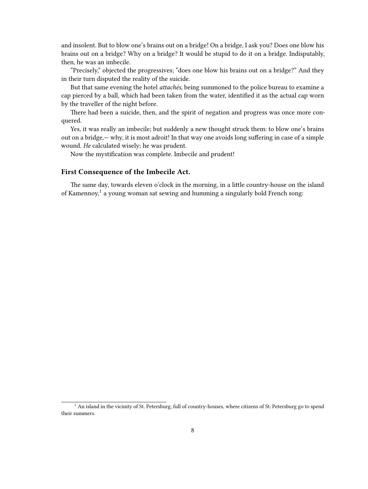and insolent. But to blow one's brains out on a bridge! On a bridge, I ask you? Does one blow his brains out on a bridge? Why on a bridge? It would be stupid to do it on a bridge. Indisputably, then, he was an imbecile.

"Precisely," objected the progressives; "does one blow his brains out on a bridge?" And they in their turn disputed the reality of the suicide.

But that same evening the hotel *attachés*, being summoned to the police bureau to examine a cap pierced by a ball, which had been taken from the water, identified it as the actual cap worn by the traveller of the night before.

There had been a suicide, then, and the spirit of negation and progress was once more conquered.

Yes, it was really an imbecile; but suddenly a new thought struck them: to blow one's brains out on a bridge,— why, it is most adroit! In that way one avoids long suffering in case of a simple wound. *He* calculated wisely; he was prudent.

Now the mystification was complete. Imbecile and prudent!

#### <span id="page-7-0"></span>**First Consequence of the Imbecile Act.**

The same day, towards eleven o'clock in the morning, in a little country-house on the island of Kamennoy,<sup>1</sup> a young woman sat sewing and humming a singularly bold French song:

<sup>&</sup>lt;sup>1</sup> An island in the vicinity of St. Petersburg, full of country-houses, where citizens of St. Petersburg go to spend their summers.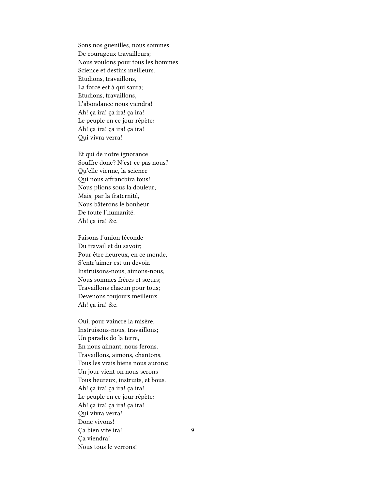Sons nos guenilles, nous sommes De courageux travailleurs; Nous voulons pour tous les hommes Science et destins meilleurs. Etudions, travaillons, La force est á qui saura; Etudions, travaillons, L'abondance nous viendra! Ah! ça ira! ça ira! ça ira! Le peuple en ce jour répète: Ah! ça ira! ça ira! ça ira! Qui vivra verra!

Et qui de notre ignorance Souffre donc? N'est-ce pas nous? Qu'elle vienne, la science Qui nous affrancbira tous! Nous plions sous la douleur; Mais, par la fraternité, Nous bâterons le bonheur De toute l'humanité. Ah! ça ira! &c.

Faisons l'union féconde Du travail et du savoir; Pour être heureux, en ce monde, S'entr'aimer est un devoir. Instruisons-nous, aimons-nous, Nous sommes frères et sœurs; Travaillons chacun pour tous; Devenons toujours meilleurs. Ah! ça ira! &c.

Oui, pour vaincre la misère, Instruisons-nous, travaillons; Un paradis do la terre, En nous aimant, nous ferons. Travaillons, aimons, chantons, Tous les vrais biens nous aurons; Un jour vient on nous serons Tous heureux, instruits, et bous. Ah! ça ira! ça ira! ça ira! Le peuple en ce jour répète: Ah! ça ira! ça ira! ça ira! Qui vivra verra! Donc vivons! Ça bien vite ira! Ça viendra! Nous tous le verrons!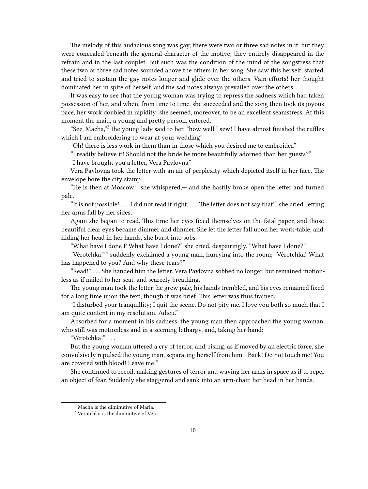The melody of this audacious song was gay; there were two or three sad notes in it, but they were concealed beneath the general character of the motive; they entirely disappeared in the refrain and in the last couplet. But such was the condition of the mind of the songstress that these two or three sad notes sounded above the others in her song. She saw this herself, started, and tried to sustain the gay notes longer and glide over the others. Vain efforts! her thought dominated her in spite of herself, and the sad notes always prevailed over the others.

It was easy to see that the young woman was trying to repress the sadness which had taken possession of her, and when, from time to time, she succeeded and the song then took its joyous pace, her work doubled in rapidity; she seemed, moreover, to be an excellent seamstress. At this moment the maid, a young and pretty person, entered.

"See, Macha,"<sup>2</sup> the young lady said to her, "how well I sew! I have almost finished the ruffles which I am embroidering to wear at your wedding"

"Oh! there is less work in them than in those which you desired me to embroider."

"I readily believe it! Should not the bride be more beautifully adorned than her guests?"

"I have brought you a letter, Vera Pavlovna"

Vera Pavlovna took the letter with an air of perplexity which depicted itself in her face. The envelope bore the city stamp.

"He is then at Moscow!" she whispered,— and she hastily broke open the letter and turned pale.

"It is not possible! ….. I did not read it right. ….. The letter does not say that!" she cried, letting her arms fall by her sides.

Again she began to read. This time her eyes fixed themselves on the fatal paper, and those beautiful clear eyes became dimmer and dimmer. She let the letter fall upon her work-table, and, hiding her head in her hands, she burst into sobs.

"What have I done F What have I done?" she cried, despairingly. "What have I done?"

"Vérotchka!"<sup>3</sup> suddenly exclaimed a young man, hurrying into the room; "Vérotchka! What has happened to you? And why these tears?"

"Read!" . . . She handed him the letter. Vera Pavlovna sobbed no longer, but remained motionless as if nailed to her seat, and scarcely breathing.

The young man took the letter; he grew pale, his hands trembled, and bis eyes remained fixed for a long time upon the text, though it was brief. This letter was thus framed:

"I disturbed your tranquillity; I quit the scene. Do not pity me. I love you both so much that I am quite content in my resolution. Adieu."

Absorbed for a moment in his sadness, the young man then approached the young woman, who still was motionless and in a seeming lethargy, and, taking her hand:

"Vérotchka!" . . .

But the young woman uttered a cry of terror, and, rising, as if moved by an electric force, she convulsively repulsed the young man, separating herself from him. "Back! Do not touch me! You are covered with blood! Leave me!"

She continued to recoil, making gestures of terror and waving her arms in space as if to repel an object of fear. Suddenly she staggered and sank into an arm-chair, her head in her hands.

 $^{\rm 2}$  Macha is the diminutive of Marla.

<sup>&</sup>lt;sup>3</sup> Verotchka is the diminutive of Vera.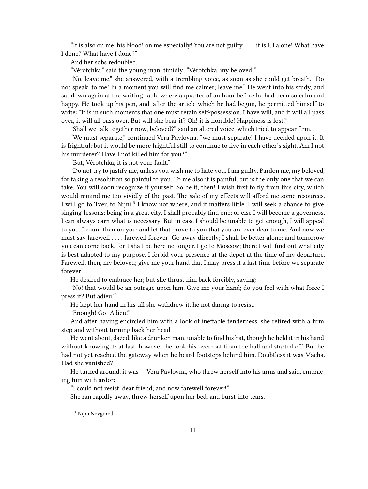"It is also on me, his blood! on me especially! You are not guilty . . . . it is I, I alone! What have I done? What have I done?"

And her sobs redoubled.

"Vérotchka," said the young man, timidly; "Vérotchka, my beloved!"

"No, leave me," she answered, with a trembling voice, as soon as she could get breath. "Do not speak, to me! In a moment you will find me calmer; leave me." He went into his study, and sat down again at the writing-table where a quarter of an hour before he had been so calm and happy. He took up his pen, and, after the article which he had begun, he permitted himself to write: "It is in such moments that one must retain self-possession. I have will, and it will all pass over, it will all pass over. But will she bear it? Oh! it is horrible! Happiness is lost!"

"Shall we talk together now, beloved?" said an altered voice, which tried to appear firm.

"We must separate," continued Vera Pavlovna, "we must separate! I have decided upon it. It is frightful; but it would be more frightful still to continue to live in each other's sight. Am I not his murderer? Have I not killed him for you?"

"But, Vérotchka, it is not your fault."

"Do not try to justify me, unless you wish me to hate you. I am guilty. Pardon me, my beloved, for taking a resolution so painful to you. To me also it is painful, but is the only one that we can take. You will soon recognize it yourself. So be it, then! I wish first to fly from this city, which would remind me too vividly of the past. The sale of my effects will afford me some resources. I will go to Tver, to Nijni,<sup>4</sup> I know not where, and it matters little. I will seek a chance to give singing-lessons; being in a great city, I shall probably find one; or else I will become a governess. I can always earn what is necessary. But in case I should be unable to get enough, I will appeal to you. I count then on you; and let that prove to you that you are ever dear to me. And now we must say farewell . . . . farewell forever! Go away directly; I shall be better alone; and tomorrow you can come back, for I shall be here no longer. I go to Moscow; there I will find out what city is best adapted to my purpose. I forbid your presence at the depot at the time of my departure. Farewell, then, my beloved; give me your hand that I may press it a last time before we separate forever".

He desired to embrace her; but she thrust him back forcibly, saying:

"No! that would be an outrage upon him. Give me your hand; do you feel with what force I press it? But adieu!"

He kept her hand in his till she withdrew it, he not daring to resist.

"Enough! Go! Adieu!"

And after having encircled him with a look of ineffable tenderness, she retired with a firm step and without turning back her head.

He went about, dazed, like a drunken man, unable to find his hat, though he held it in his hand without knowing it; at last, however, he took his overcoat from the hall and started off. But he had not yet reached the gateway when he heard footsteps behind him. Doubtless it was Macha. Had she vanished?

He turned around; it was — Vera Pavlovna, who threw herself into his arms and said, embracing him with ardor:

"I could not resist, dear friend; and now farewell forever!"

She ran rapidly away, threw herself upon her bed, and burst into tears.

<sup>4</sup> Nijni Novgorod.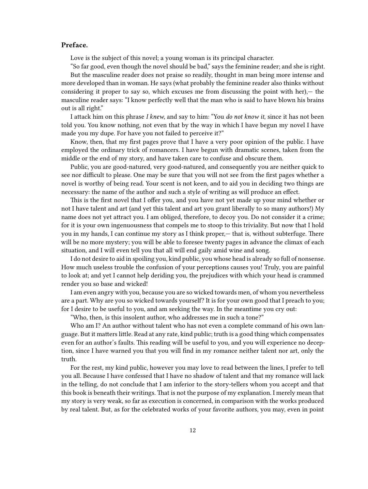#### <span id="page-11-0"></span>**Preface.**

Love is the subject of this novel; a young woman is its principal character.

"So far good, even though the novel should be bad," says the feminine reader; and she is right. But the masculine reader does not praise so readily, thought in man being more intense and more developed than in woman. He says (what probably the feminine reader also thinks without considering it proper to say so, which excuses me from discussing the point with her) $-$  the masculine reader says: "I know perfectly well that the man who is said to have blown his brains out is all right."

I attack him on this phrase *I knew*, and say to him: "You *do not know it*, since it has not been told you. You know nothing, not even that by the way in which I have begun my novel I have made you my dupe. For have you not failed to perceive it?"

Know, then, that my first pages prove that I have a very poor opinion of the public. I have employed the ordinary trick of romancers. I have begun with dramatic scenes, taken from the middle or the end of my story, and have taken care to confuse and obscure them.

Public, you are good-natured, very good-natured, and consequently you are neither quick to see nor difficult to please. One may be sure that you will not see from the first pages whether a novel is worthy of being read. Your scent is not keen, and to aid you in deciding two things are necessary: the name of the author and such a style of writing as will produce an effect.

This is the first novel that I offer you, and you have not yet made up your mind whether or not I have talent and art (and yet this talent and art you grant liberally to so many authors!) My name does not yet attract you. I am obliged, therefore, to decoy you. Do not consider it a crime; for it is your own ingenuousness that compels me to stoop to this triviality. But now that I hold you in my hands, I can continue my story as I think proper,— that is, without subterfuge. There will be no more mystery; you will be able to foresee twenty pages in advance the climax of each situation, and I will even tell you that all will end gaily amid wine and song.

I do not desire to aid in spoiling you, kind public, you whose head is already so full of nonsense. How much useless trouble the confusion of your perceptions causes you! Truly, you are painful to look at; and yet I cannot help deriding you, the prejudices with which your head is crammed render you so base and wicked!

I am even angry with you, because you are so wicked towards men, of whom you nevertheless are a part. Why are you so wicked towards yourself? It is for your own good that I preach to you; for I desire to be useful to you, and am seeking the way. In the meantime you cry out:

"Who, then, is this insolent author, who addresses me in such a tone?"

Who am I? An author without talent who has not even a complete command of his own language. But it matters little. Read at any rate, kind public; truth is a good thing which compensates even for an author's faults. This reading will be useful to you, and you will experience no deception, since I have warned you that you will find in my romance neither talent nor art, only the truth.

For the rest, my kind public, however you may love to read between the lines, I prefer to tell you all. Because I have confessed that I have no shadow of talent and that my romance will lack in the telling, do not conclude that I am inferior to the story-tellers whom you accept and that this book is beneath their writings. That is not the purpose of my explanation. I merely mean that my story is very weak, so far as execution is concerned, in comparison with the works produced by real talent. But, as for the celebrated works of your favorite authors, you may, even in point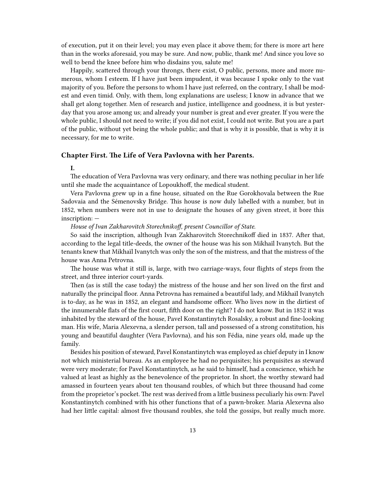of execution, put it on their level; you may even place it above them; for there is more art here than in the works aforesaid, you may be sure. And now, public, thank me! And since you love so well to bend the knee before him who disdains you, salute me!

Happily, scattered through your throngs, there exist, O public, persons, more and more numerous, whom I esteem. If I have just been impudent, it was because I spoke only to the vast majority of you. Before the persons to whom I have just referred, on the contrary, I shall be modest and even timid. Only, with them, long explanations are useless; I know in advance that we shall get along together. Men of research and justice, intelligence and goodness, it is but yesterday that you arose among us; and already your number is great and ever greater. If you were the whole public, I should not need to write; if you did not exist, I could not write. But you are a part of the public, without yet being the whole public; and that is why it is possible, that is why it is necessary, for me to write.

#### <span id="page-12-0"></span>**Chapter First. The Life of Vera Pavlovna with her Parents.**

**I.**

The education of Vera Pavlovna was very ordinary, and there was nothing peculiar in her life until she made the acquaintance of Lopoukhoff, the medical student.

Vera Pavlovna grew up in a fine house, situated on the Rue Gorokhovala between the Rue Sadovaia and the Sémenovsky Bridge. This house is now duly labelled with a number, but in 1852, when numbers were not in use to designate the houses of any given street, it bore this inscription: —

#### *House of Ivan Zakharovitch Storechnikoff, present Councillor of State.*

So said the inscription, although Ivan Zakharovitch Storechnikoff died in 1837. After that, according to the legal title-deeds, the owner of the house was his son Mikhaïl Ivanytch. But the tenants knew that Mikhaïl Ivanytch was only the son of the mistress, and that the mistress of the house was Anna Petrovna.

The house was what it still is, large, with two carriage-ways, four flights of steps from the street, and three interior court-yards.

Then (as is still the case today) the mistress of the house and her son lived on the first and naturally the principal floor. Anna Petrovna has remained a beautiful lady, and Mikhaïl Ivanytch is to-day, as he was in 1852, an elegant and handsome officer. Who lives now in the dirtiest of the innumerable flats of the first court, fifth door on the right? I do not know. But in 1852 it was inhabited by the steward of the house, Pavel Konstantinytch Rosalsky, a robust and fine-looking man. His wife, Maria Alexevna, a slender person, tall and possessed of a strong constitution, his young and beautiful daughter (Vera Pavlovna), and his son Fédia, nine years old, made up the family.

Besides his position of steward, Pavel Konstantinytch was employed as chief deputy in I know not which ministerial bureau. As an employee he had no perquisites; his perquisites as steward were very moderate; for Pavel Konstantinytch, as he said to himself, had a conscience, which he valued at least as highly as the benevolence of the proprietor. In short, the worthy steward had amassed in fourteen years about ten thousand roubles, of which but three thousand had come from the proprietor's pocket. The rest was derived from a little business peculiarly his own: Pavel Konstantinytch combined with his other functions that of a pawn-broker. Maria Alexevna also had her little capital: almost five thousand roubles, she told the gossips, but really much more.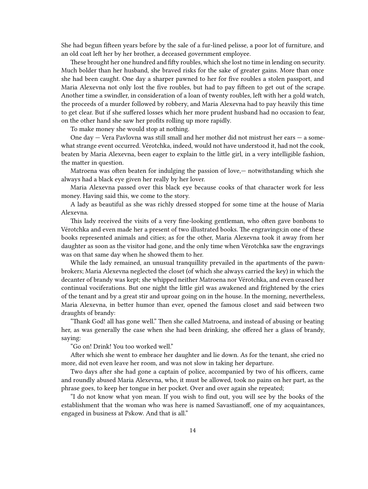She had begun fifteen years before by the sale of a fur-lined pelisse, a poor lot of furniture, and an old coat left her by her brother, a deceased government employee.

These brought her one hundred and fifty roubles, which she lost no time in lending on security. Much bolder than her husband, she braved risks for the sake of greater gains. More than once she had been caught. One day a sharper pawned to her for five roubles a stolen passport, and Maria Alexevna not only lost the five roubles, but had to pay fifteen to get out of the scrape. Another time a swindler, in consideration of a loan of twenty roubles, left with her a gold watch, the proceeds of a murder followed by robbery, and Maria Alexevna had to pay heavily this time to get clear. But if she suffered losses which her more prudent husband had no occasion to fear, on the other hand she saw her profits rolling up more rapidly.

To make money she would stop at nothing.

One day — Vera Pavlovna was still small and her mother did not mistrust her ears — a somewhat strange event occurred. Vérotchka, indeed, would not have understood it, had not the cook, beaten by Maria Alexevna, been eager to explain to the little girl, in a very intelligible fashion, the matter in question.

Matroena was often beaten for indulging the passion of love,— notwithstanding which she always had a black eye given her really by her lover.

Maria Alexevna passed over this black eye because cooks of that character work for less money. Having said this, we come to the story.

A lady as beautiful as she was richly dressed stopped for some time at the house of Maria Alexevna.

This lady received the visits of a very fine-looking gentleman, who often gave bonbons to Vérotchka and even made her a present of two illustrated books. The engravings;in one of these books represented animals and cities; as for the other, Maria Alexevna took it away from her daughter as soon as the visitor had gone, and the only time when Vérotchka saw the engravings was on that same day when he showed them to her.

While the lady remained, an unusual tranquillity prevailed in the apartments of the pawnbrokers; Maria Alexevna neglected the closet (of which she always carried the key) in which the decanter of brandy was kept; she whipped neither Matroena nor Vérotchka, and even ceased her continual vociferations. But one night the little girl was awakened and frightened by the cries of the tenant and by a great stir and uproar going on in the house. In the morning, nevertheless, Maria Alexevna, in better humor than ever, opened the famous closet and said between two draughts of brandy:

"Thank God! all has gone well." Then she called Matroena, and instead of abusing or beating her, as was generally the case when she had been drinking, she offered her a glass of brandy, saying:

"Go on! Drink! You too worked well."

After which she went to embrace her daughter and lie down. As for the tenant, she cried no more, did not even leave her room, and was not slow in taking her departure.

Two days after she had gone a captain of police, accompanied by two of his officers, came and roundly abused Maria Alexevna, who, it must be allowed, took no pains on her part, as the phrase goes, to keep her tongue in her pocket. Over and over again she repeated;

"I do not know what yon mean. If you wish to find out, you will see by the books of the establishment that the woman who was here is named Savastianoff, one of my acquaintances, engaged in business at Pskow. And that is all."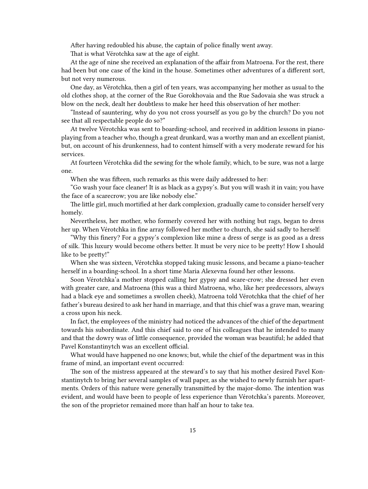After having redoubled his abuse, the captain of police finally went away.

That is what Vérotchka saw at the age of eight.

At the age of nine she received an explanation of the affair from Matroena. For the rest, there had been but one case of the kind in the house. Sometimes other adventures of a different sort, but not very numerous.

One day, as Vérotchka, then a girl of ten years, was accompanying her mother as usual to the old clothes shop, at the corner of the Rue Gorokhovaia and the Rue Sadovaia she was struck a blow on the neck, dealt her doubtless to make her heed this observation of her mother:

"Instead of sauntering, why do you not cross yourself as you go by the church? Do you not see that all respectable people do so?"

At twelve Vérotchka was sent to boarding-school, and received in addition lessons in pianoplaying from a teacher who, though a great drunkard, was a worthy man and an excellent pianist, but, on account of his drunkenness, had to content himself with a very moderate reward for his services.

At fourteen Vérotchka did the sewing for the whole family, which, to be sure, was not a large one.

When she was fifteen, such remarks as this were daily addressed to her:

"Go wash your face cleaner! It is as black as a gypsy's. But you will wash it in vain; you have the face of a scarecrow; you are like nobody else."

The little girl, much mortified at her dark complexion, gradually came to consider herself very homely.

Nevertheless, her mother, who formerly covered her with nothing but rags, began to dress her up. When Vérotchka in fine array followed her mother to church, she said sadly to herself:

"Why this finery? For a gypsy's complexion like mine a dress of serge is as good as a dress of silk. This luxury would become others better. It must be very nice to be pretty! How I should like to be pretty!"

When she was sixteen, Vérotchka stopped taking music lessons, and became a piano-teacher herself in a boarding-school. In a short time Maria Alexevna found her other lessons.

Soon Vérotchka'a mother stopped calling her gypsy and scare-crow; she dressed her even with greater care, and Matroena (this was a third Matroena, who, like her predecessors, always had a black eye and sometimes a swollen cheek), Matroena told Vérotchka that the chief of her father's bureau desired to ask her hand in marriage, and that this chief was a grave man, wearing a cross upon his neck.

In fact, the employees of the ministry had noticed the advances of the chief of the department towards his subordinate. And this chief said to one of his colleagues that he intended to many and that the dowry was of little consequence, provided the woman was beautiful; he added that Pavel Konstantinytch was an excellent official.

What would have happened no one knows; but, while the chief of the department was in this frame of mind, an important event occurred:

The son of the mistress appeared at the steward's to say that his mother desired Pavel Konstantinytch to bring her several samples of wall paper, as she wished to newly furnish her apartments. Orders of this nature were generally transmitted by the major-domo. The intention was evident, and would have been to people of less experience than Vérotchka's parents. Moreover, the son of the proprietor remained more than half an hour to take tea.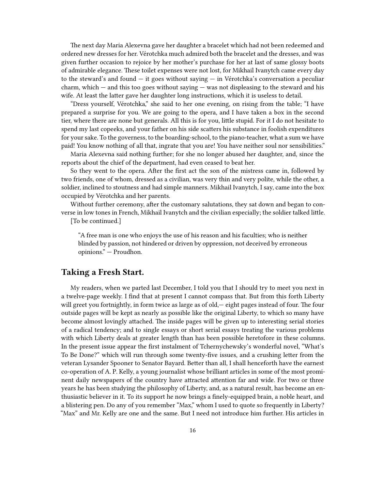The next day Maria Alexevna gave her daughter a bracelet which had not been redeemed and ordered new dresses for her. Vérotchka much admired both the bracelet and the dresses, and was given further occasion to rejoice by her mother's purchase for her at last of same glossy boots of admirable elegance. These toilet expenses were not lost, for Mikhail Ivanytch came every day to the steward's and found  $-$  it goes without saying  $-$  in Vérotchka's conversation a peculiar charm, which  $-$  and this too goes without saying  $-$  was not displeasing to the steward and his wife. At least the latter gave her daughter long instructions, which it is useless to detail.

"Dress yourself, Vérotchka," she said to her one evening, on rising from the table; "I have prepared a surprise for you. We are going to the opera, and I have taken a box in the second tier, where there are none but generals. All this is for you, little stupid. For it I do not hesitate to spend my last copeeks, and your father on his side scatters his substance in foolish expenditures for your sake. To the governess, to the boarding-school, to the piano-teacher, what a sum we have paid! You know nothing of all that, ingrate that you are! You have neither soul nor sensibilities."

Maria Alexevna said nothing further; for she no longer abused her daughter, and, since the reports about the chief of the department, had even ceased to beat her.

So they went to the opera. After the first act the son of the mistress came in, followed by two friends, one of whom, dressed as a civilian, was very thin and very polite, while the other, a soldier, inclined to stoutness and had simple manners. Mikhail Ivanytch, I say, came into the box occupied by Vérotchka and her parents.

Without further ceremony, after the customary salutations, they sat down and began to converse in low tones in French, Mikhail Ivanytch and the civilian especially; the soldier talked little.

[To be continued.]

"A free man is one who enjoys the use of his reason and his faculties; who is neither blinded by passion, not hindered or driven by oppression, not deceived by erroneous opinions." — Proudhon.

## <span id="page-15-0"></span>**Taking a Fresh Start.**

My readers, when we parted last December, I told you that I should try to meet you next in a twelve-page weekly. I find that at present I cannot compass that. But from this forth Liberty will greet you fortnightly, in form twice as large as of old,— eight pages instead of four. The four outside pages will be kept as nearly as possible like the original Liberty, to which so many have become almost lovingly attached. The inside pages will be given up to interesting serial stories of a radical tendency; and to single essays or short serial essays treating the various problems with which Liberty deals at greater length than has been possible heretofore in these columns. In the present issue appear the first instalment of Tchernychewsky's wonderful novel, "What's To Be Done?" which will run through some twenty-five issues, and a crushing letter from the veteran Lysander Spooner to Senator Bayard. Better than all, I shall henceforth have the earnest co-operation of A. P. Kelly, a young journalist whose brilliant articles in some of the most prominent daily newspapers of the country have attracted attention far and wide. For two or three years he has been studying the philosophy of Liberty, and, as a natural result, has become an enthusiastic believer in it. To its support he now brings a finely-equipped brain, a noble heart, and a blistering pen. Do any of you remember "Max," whom I used to quote so frequently in Liberty? "Max" and Mr. Kelly are one and the same. But I need not introduce him further. His articles in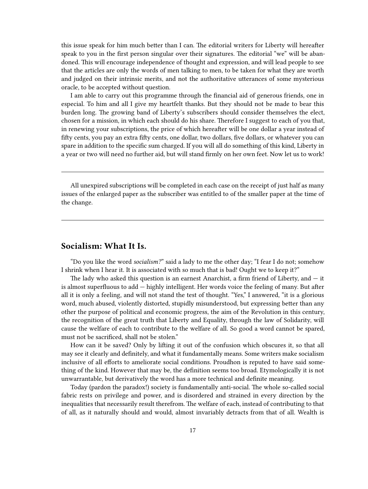this issue speak for him much better than I can. The editorial writers for Liberty will hereafter speak to you in the first person singular over their signatures. The editorial "we" will be abandoned. This will encourage independence of thought and expression, and will lead people to see that the articles are only the words of men talking to men, to be taken for what they are worth and judged on their intrinsic merits, and not the authoritative utterances of some mysterious oracle, to be accepted without question.

I am able to carry out this programme through the financial aid of generous friends, one in especial. To him and all I give my heartfelt thanks. But they should not be made to bear this burden long. The growing band of Liberty's subscribers should consider themselves the elect, chosen for a mission, in which each should do his share. Therefore I suggest to each of you that, in renewing your subscriptions, the price of which hereafter will be one dollar a year instead of fifty cents, you pay an extra fifty cents, one dollar, two dollars, five dollars, or whatever you can spare in addition to the specific sum charged. If you will all do something of this kind, Liberty in a year or two will need no further aid, but will stand firmly on her own feet. Now let us to work!

All unexpired subscriptions will be completed in each case on the receipt of just half as many issues of the enlarged paper as the subscriber was entitled to of the smaller paper at the time of the change.

#### <span id="page-16-0"></span>**Socialism: What It Is.**

"Do you like the word *socialism?*" said a lady to me the other day; "I fear I do not; somehow I shrink when I hear it. It is associated with so much that is bad! Ought we to keep it?"

The lady who asked this question is an earnest Anarchist, a firm friend of Liberty, and  $-$  it is almost superfluous to add — highly intelligent. Her words voice the feeling of many. But after all it is only a feeling, and will not stand the test of thought. "Yes," I answered, "it is a glorious word, much abused, violently distorted, stupidly misunderstood, but expressing better than any other the purpose of political and economic progress, the aim of the Revolution in this century, the recognition of the great truth that Liberty and Equality, through the law of Solidarity, will cause the welfare of each to contribute to the welfare of all. So good a word cannot be spared, must not be sacrificed, shall not be stolen."

How can it be saved? Only by lifting it out of the confusion which obscures it, so that all may see it clearly and definitely, and what it fundamentally means. Some writers make socialism inclusive of all efforts to ameliorate social conditions. Proudhon is reputed to have said something of the kind. However that may be, the definition seems too broad. Etymologically it is not unwarrantable, but derivatively the word has a more technical and definite meaning.

Today (pardon the paradox!) society is fundamentally anti-social. The whole so-called social fabric rests on privilege and power, and is disordered and strained in every direction by the inequalities that necessarily result therefrom. The welfare of each, instead of contributing to that of all, as it naturally should and would, almost invariably detracts from that of all. Wealth is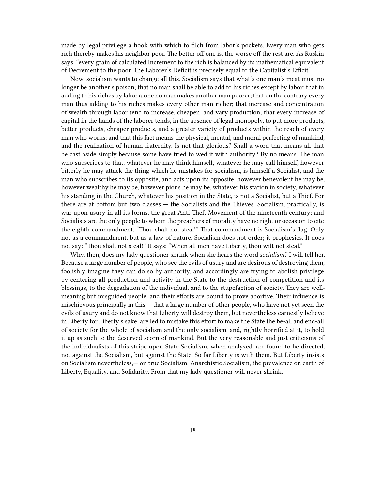made by legal privilege a hook with which to filch from labor's pockets. Every man who gets rich thereby makes his neighbor poor. The better off one is, the worse off the rest are. As Ruskin says, "every grain of calculated Increment to the rich is balanced by its mathematical equivalent of Decrement to the poor. The Laborer's Deficit is precisely equal to the Capitalist's Efficit."

Now, socialism wants to change all this. Socialism says that what's one man's meat must no longer be another's poison; that no man shall be able to add to his riches except by labor; that in adding to his riches by labor alone no man makes another man poorer; that on the contrary every man thus adding to his riches makes every other man richer; that increase and concentration of wealth through labor tend to increase, cheapen, and vary production; that every increase of capital in the hands of the laborer tends, in the absence of legal monopoly, to put more products, better products, cheaper products, and a greater variety of products within the reach of every man who works; and that this fact means the physical, mental, and moral perfecting of mankind, and the realization of human fraternity. Is not that glorious? Shall a word that means all that be cast aside simply because some have tried to wed it with authority? By no means. The man who subscribes to that, whatever he may think himself, whatever he may call himself, however bitterly he may attack the thing which he mistakes for socialism, is himself a Socialist, and the man who subscribes to its opposite, and acts upon its opposite, however benevolent he may be, however wealthy he may be, however pious he may be, whatever his station in society, whatever his standing in the Church, whatever his position in the State, is not a Socialist, but a Thief. For there are at bottom but two classes — the Socialists and the Thieves. Socialism, practically, is war upon usury in all its forms, the great Anti-Theft Movement of the nineteenth century; and Socialists are the only people to whom the preachers of morality have no right or occasion to cite the eighth commandment, "Thou shalt not steal!" That commandment is Socialism's flag. Only not as a commandment, but as a law of nature. Socialism does not order; it prophesies. It does not say: "Thou shalt not steal!" It says: "When all men have Liberty, thou wilt not steal."

Why, then, does my lady questioner shrink when she hears the word *socialism?* I will tell her. Because a large number of people, who see the evils of usury and are desirous of destroying them, foolishly imagine they can do so by authority, and accordingly are trying to abolish privilege by centering all production and activity in the State to the destruction of competition and its blessings, to the degradation of the individual, and to the stupefaction of society. They are wellmeaning but misguided people, and their efforts are bound to prove abortive. Their influence is mischievous principally in this,— that a large number of other people, who have not yet seen the evils of usury and do not know that Liberty will destroy them, but nevertheless earnestly believe in Liberty for Liberty's sake, are led to mistake this effort to make the State the be-all and end-all of society for the whole of socialism and the only socialism, and, rightly horrified at it, to hold it up as such to the deserved scorn of mankind. But the very reasonable and just criticisms of the individualists of this stripe upon State Socialism, when analyzed, are found to be directed, not against the Socialism, but against the State. So far Liberty is with them. But Liberty insists on Socialism nevertheless,— on true Socialism, Anarchistic Socialism, the prevalence on earth of Liberty, Equality, and Solidarity. From that my lady questioner will never shrink.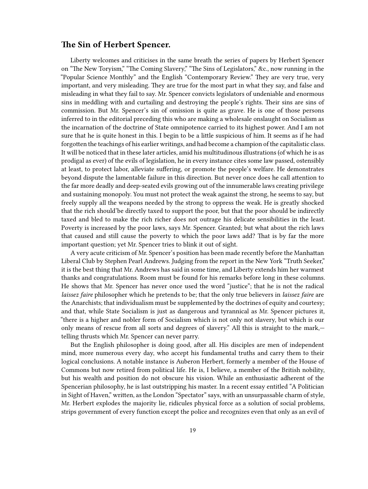#### <span id="page-18-0"></span>**The Sin of Herbert Spencer.**

Liberty welcomes and criticises in the same breath the series of papers by Herbert Spencer on "The New Toryism," "The Coming Slavery," "The Sins of Legislators," &c., now running in the "Popular Science Monthly" and the English "Contemporary Review." They are very true, very important, and very misleading. They are true for the most part in what they say, and false and misleading in what they fail to say. Mr. Spencer convicts legislators of undeniable and enormous sins in meddling with and curtailing and destroying the people's rights. Their sins are sins of commission. But Mr. Spencer's sin of omission is quite as grave. He is one of those persons inferred to in the editorial preceding this who are making a wholesale onslaught on Socialism as the incarnation of the doctrine of State omnipotence carried to its highest power. And I am not sure that he is quite honest in this. I begin to be a little suspicious of him. It seems as if he had forgotten the teachings of his earlier writings, and had become a champion of the capitalistic class. It will be noticed that in these later articles, amid his multitudinous illustrations (of which he is as prodigal as ever) of the evils of legislation, he in every instance cites some law passed, ostensibly at least, to protect labor, alleviate suffering, or promote the people's welfare. He demonstrates beyond dispute the lamentable failure in this direction. But never once does he call attention to the far more deadly and deep-seated evils growing out of the innumerable laws creating privilege and sustaining monopoly. You must not protect the weak against the strong, he seems to say, but freely supply all the weapons needed by the strong to oppress the weak. He is greatly shocked that the rich should'be directly taxed to support the poor, but that the poor should be indirectly taxed and bled to make the rich richer does not outrage his delicate sensibilities in the least. Poverty is increased by the poor laws, says Mr. Spencer. Granted; but what about the rich laws that caused and still cause the poverty to which the poor laws add? That is by far the more important question; yet Mr. Spencer tries to blink it out of sight.

A very acute criticism of Mr. Spencer's position has been made recently before the Manhattan Liberal Club by Stephen Pearl Andrews. Judging from the report in the New York "Truth Seeker," it is the best thing that Mr. Andrews has said in some time, and Liberty extends him her warmest thanks and congratulations. Room must be found for his remarks before long in these columns. He shows that Mr. Spencer has never once used the word "justice"; that he is not the radical *laissez faire* philosopher which he pretends to be; that the only true believers in *laissez faire* are the Anarchists; that individualism must be supplemented by the doctrines of equity and courtesy; and that, while State Socialism is just as dangerous and tyrannical as Mr. Spencer pictures it, "there is a higher and nobler form of Socialism which is not only not slavery, but which is our only means of rescue from all sorts and degrees of slavery." All this is straight to the mark, telling thrusts which Mr. Spencer can never parry.

But the English philosopher is doing good, after all. His disciples are men of independent mind, more numerous every day, who accept his fundamental truths and carry them to their logical conclusions. A notable instance is Auberon Herbert, formerly a member of the House of Commons but now retired from political life. He is, I believe, a member of the British nobility, but his wealth and position do not obscure his vision. While an enthusiastic adherent of the Spencerian philosophy, he is last outstripping his master. In a recent essay entitled "A Politician in Sight of Haven," written, as the London "Spectator" says, with an unsurpassable charm of style, Mr. Herbert explodes the majority lie, ridicules physical force as a solution of social problems, strips government of every function except the police and recognizes even that only as an evil of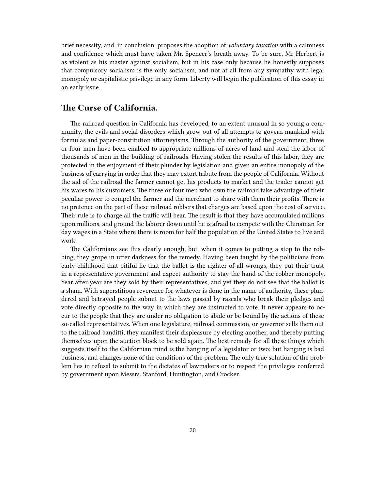brief necessity, and, in conclusion, proposes the adoption of *voluntary taxation* with a calmness and confidence which must have taken Mr. Spencer's breath away. To be sure, Mr Herbert is as violent as his master against socialism, but in his case only because he honestly supposes that compulsory socialism is the only socialism, and not at all from any sympathy with legal monopoly or capitalistic privilege in any form. Liberty will begin the publication of this essay in an early issue.

## <span id="page-19-0"></span>**The Curse of California.**

The railroad question in California has developed, to an extent unusual in so young a community, the evils and social disorders which grow out of all attempts to govern mankind with formulas and paper-constitution attorneyisms. Through the authority of the government, three or four men have been enabled to appropriate millions of acres of land and steal the labor of thousands of men in the building of railroads. Having stolen the results of this labor, they are protected in the enjoyment of their plunder by legislation and given an entire monopoly of the business of carrying in order that they may extort tribute from the people of California. Without the aid of the railroad the farmer cannot get his products to market and the trader cannot get his wares to his customers. The three or four men who own the railroad take advantage of their peculiar power to compel the farmer and the merchant to share with them their profits. There is no pretence on the part of these railroad robbers that charges are based upon the cost of service. Their rule is to charge all the traffic will bear. The result is that they have accumulated millions upon millions, and ground the laborer down until he is afraid to compete with the Chinaman for day wages in a State where there is room for half the population of the United States to live and work.

The Californians see this clearly enough, but, when it comes to putting a stop to the robbing, they grope in utter darkness for the remedy. Having been taught by the politicians from early childhood that pitiful lie that the ballot is the righter of all wrongs, they put their trust in a representative government and expect authority to stay the hand of the robber monopoly. Year after year are they sold by their representatives, and yet they do not see that the ballot is a sham. With superstitious reverence for whatever is done in the name of authority, these plundered and betrayed people submit to the laws passed by rascals who break their pledges and vote directly opposite to the way in which they are instructed to vote. It never appears to occur to the people that they are under no obligation to abide or be bound by the actions of these so-called representatives. When one legislature, railroad commission, or governor sells them out to the railroad banditti, they manifest their displeasure by electing another, and thereby putting themselves upon the auction block to be sold again. The best remedy for all these things which suggests itself to the Californian mind is the hanging of a legislator or two; but hanging is bad business, and changes none of the conditions of the problem. The only true solution of the problem lies in refusal to submit to the dictates of lawmakers or to respect the privileges conferred by government upon Messrs. Stanford, Huntington, and Crocker.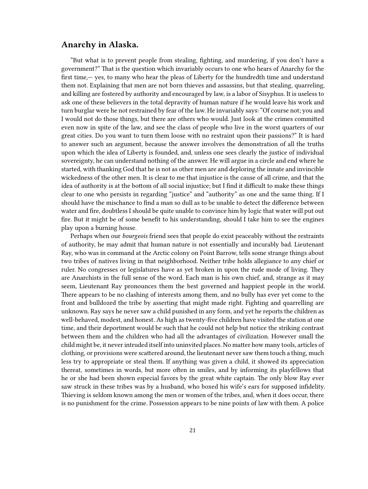### <span id="page-20-0"></span>**Anarchy in Alaska.**

"But what is to prevent people from stealing, fighting, and murdering, if you don't have a government?" That is the question which invariably occurs to one who hears of Anarchy for the first time,— yes, to many who hear the pleas of Liberty for the hundredth time and understand them not. Explaining that men are not born thieves and assassins, but that stealing, quarreling, and killing are fostered by authority and encouraged by law, is a labor of Sisyphus. It is useless to ask one of these believers in the total depravity of human nature if he would leave his work and turn burglar were he not restrained by fear of the law. He invariably says: "Of course not; you and I would not do those things, but there are others who would. Just look at the crimes committed even now in spite of the law, and see the class of people who live in the worst quarters of our great cities. Do you want to turn them loose with no restraint upon their passions?" It is hard to answer such an argument, because the answer involves the demonstration of all the truths upon which the idea of Liberty is founded, and, unless one sees clearly the justice of individual sovereignty, he can understand nothing of the answer. He will argue in a circle and end where he started, with thanking God that he is not as other men are and deploring the innate and invincible wickedness of the other men. It is clear to me that injustice is the cause of all crime, and that the idea of authority is at the bottom of all social injustice; but I find it difficult to make these things clear to one who persists in regarding "justice" and "authority" as one and the same thing. If I should have the mischance to find a man so dull as to be unable to detect the difference between water and fire, doubtless I should be quite unable to convince him by logic that water will put out fire. But it might be of some benefit to his understanding, should I take him to see the engines play upon a burning house.

Perhaps when our *bourgeois* friend sees that people do exist peaceably without the restraints of authority, he may admit that human nature is not essentially and incurably bad. Lieutenant Ray, who was in command at the Arctic colony on Point Barrow, tells some strange things about two tribes of natives living in that neighborhood. Neither tribe holds allegiance to any chief or ruler. No congresses or legislatures have as yet broken in upon the rude mode of living. They are Anarchists in the full sense of the word. Each man is his own chief, and, strange as it may seem, Lieutenant Ray pronounces them the best governed and happiest people in the world. There appears to be no clashing of interests among them, and no bully has ever yet come to the front and bulldozed the tribe by asserting that might made right. Fighting and quarrelling are unknown. Ray says he never saw a child punished in any form, and yet he reports the children as well-behaved, modest, and honest. As high as twenty-five children have visited the station at one time, and their deportment would be such that he could not help but notice the striking contrast between them and the children who had all the advantages of civilization. However small the child might be, it never intruded itself into uninvited places. No matter how many tools, articles of clothing, or provisions were scattered around, the lieutenant never saw them touch a thing, much less try to appropriate or steal them. If anything was given a child, it showed its appreciation thereat, sometimes in words, but more often in smiles, and by informing its playfellows that he or she had been shown especial favors by the great white captain. The only blow Ray ever saw struck in these tribes was by a husband, who boxed his wife's ears for supposed infidelity. Thieving is seldom known among the men or women of the tribes, and, when it does occur, there is no punishment for the crime. Possession appears to be nine points of law with them. A police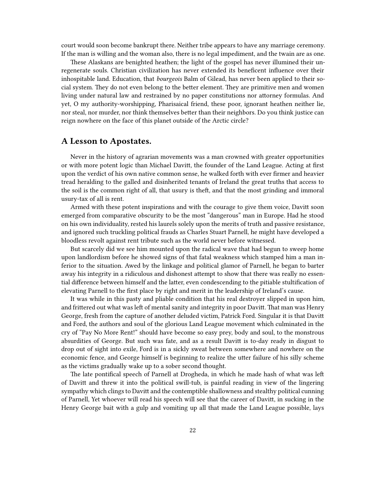court would soon become bankrupt there. Neither tribe appears to have any marriage ceremony. If the man is willing and the woman also, there is no legal impediment, and the twain are as one.

These Alaskans are benighted heathen; the light of the gospel has never illumined their unregenerate souls. Christian civilization has never extended its beneficent influence over their inhospitable land. Education, that *bourgeois* Balm of Gilead, has never been applied to their social system. They do not even belong to the better element. They are primitive men and women living under natural law and restrained by no paper constitutions nor attorney formulas. And yet, O my authority-worshipping, Pharisaical friend, these poor, ignorant heathen neither lie, nor steal, nor murder, nor think themselves better than their neighbors. Do you think justice can reign nowhere on the face of this planet outside of the Arctic circle?

#### <span id="page-21-0"></span>**A Lesson to Apostates.**

Never in the history of agrarian movements was a man crowned with greater opportunities or with more potent logic than Michael Davitt, the founder of the Land League. Acting at first upon the verdict of his own native common sense, he walked forth with ever firmer and heavier tread heralding to the galled and disinherited tenants of Ireland the great truths that access to the soil is the common right of all, that usury is theft, and that the most grinding and immoral usury-tax of all is rent.

Armed with these potent inspirations and with the courage to give them voice, Davitt soon emerged from comparative obscurity to be the most "dangerous" man in Europe. Had he stood on his own individuality, rested his laurels solely upon the merits of truth and passive resistance, and ignored such truckling political frauds as Charles Stuart Parnell, he might have developed a bloodless revolt against rent tribute such as the world never before witnessed.

But scarcely did we see him mounted upon the radical wave that had begun to sweep home upon landlordism before he showed signs of that fatal weakness which stamped him a man inferior to the situation. Awed by the linkage and political glamor of Parnell, he began to barter away his integrity in a ridiculous and dishonest attempt to show that there was really no essential difference between himself and the latter, even condescending to the pitiable stultification of elevating Parnell to the first place by right and merit in the leadership of Ireland's cause.

It was while in this pasty and pliable condition that his real destroyer slipped in upon him, and frittered out what was left of mental sanity and integrity in poor Davitt. That man was Henry George, fresh from the capture of another deluded victim, Patrick Ford. Singular it is that Davitt and Ford, the authors and soul of the glorious Land League movement which culminated in the cry of "Pay No More Rent!" should have become so easy prey, body and soul, to the monstrous absurdities of George. But such was fate, and as a result Davitt is to-day ready in disgust to drop out of sight into exile, Ford is in a sickly sweat between somewhere and nowhere on the economic fence, and George himself is beginning to realize the utter failure of his silly scheme as the victims gradually wake up to a sober second thought.

The late pontifical speech of Parnell at Drogheda, in which he made hash of what was left of Davitt and threw it into the political swill-tub, is painful reading in view of the lingering sympathy which clings to Davitt and the contemptible shallowness and stealthy political cunning of Parnell, Yet whoever will read his speech will see that the career of Davitt, in sucking in the Henry George bait with a gulp and vomiting up all that made the Land League possible, lays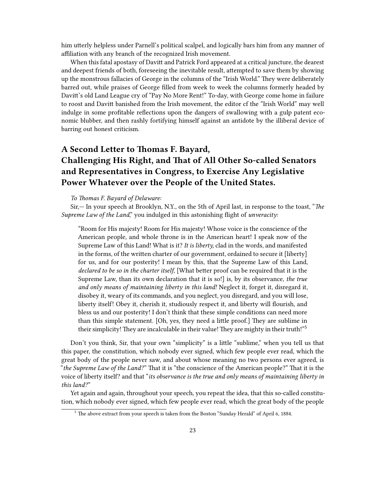him utterly helpless under Parnell's political scalpel, and logically bars him from any manner of affiliation with any branch of the recognized Irish movement.

When this fatal apostasy of Davitt and Patrick Ford appeared at a critical juncture, the dearest and deepest friends of both, foreseeing the inevitable result, attempted to save them by showing up the monstrous fallacies of George in the columns of the "Irish World." They were deliberately barred out, while praises of George filled from week to week the columns formerly headed by Davitt's old Land League cry of "Pay No More Rent!" To-day, with George come home in failure to roost and Davitt banished from the Irish movement, the editor cf the "Irish World" may well indulge in some profitable reflections upon the dangers of swallowing with a gulp patent economic blubber, and then rashly fortifying himself against an antidote by the illiberal device of barring out honest criticism.

## <span id="page-22-0"></span>**A Second Letter to Thomas F. Bayard, Challenging His Right, and That of All Other So-called Senators and Representatives in Congress, to Exercise Any Legislative Power Whatever over the People of the United States.**

#### *To Thomas F. Bayard of Delaware:*

Sir,— In your speech at Brooklyn, N.Y., on the 5th of April last, in response to the toast, "*The Supreme Law of the Land*," you indulged in this astonishing flight of *unveracity:*

"Room for His majesty! Room for His majesty! Whose voice is the conscience of the American people, and whole throne is in the American heart! I speak now of the Supreme Law of this Land! What is it? *It is liberty,* clad in the words, and manifested in the forms, of the written charter of our government, ordained to secure it [liberty] for us, and for our posterity! I mean by this, that the Supreme Law of this Land, *declared to be so in the charter itself*, [What better proof can be required that it is the Supreme Law, than its own declaration that it is so!] is, by its observance, *the true and only means of maintaining liberty in this land!* Neglect it, forget it, disregard it, disobey it, weary of its commands, and you neglect, you disregard, and you will lose, liberty itself! Obey it, cherish it, studiously respect it, and liberty will flourish, and bless us and our posterity! I don't think that these simple conditions can need more than this simple statement. [Oh, yes, they need a little proof.] They are sublime in their simplicity! They are incalculable in their value! They are mighty in their truth!"<sup>5</sup>

Don't you think, Sir, that your own "simplicity" is a little "sublime," when you tell us that this paper, the constitution, which nobody ever signed, which few people ever read, which the great body of the people never saw, and about whose meaning no two persons ever agreed, is "*the Supreme Law of the Land?*" That it is "the conscience of the American people?" That it is the voice of liberty itself? and that "*its observance is the true and only means of maintaining liberty in this land?*"

Yet again and again, throughout your speech, you repeat the idea, that this so-called constitution, which nobody ever signed, which few people ever read, which the great body of the people

<sup>&</sup>lt;sup>5</sup> The above extract from your speech is taken from the Boston "Sunday Herald" of April 6, 1884.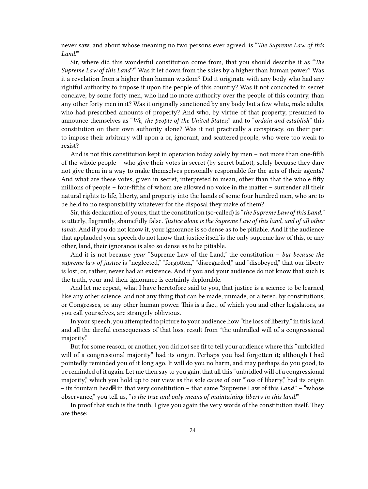never saw, and about whose meaning no two persons ever agreed, is "*The Supreme Law of this Land!*"

Sir, where did this wonderful constitution come from, that you should describe it as "*The Supreme Law of this Land?*" Was it let down from the skies by a higher than human power? Was it a revelation from a higher than human wisdom? Did it originate with any body who had any rightful authority to impose it upon the people of this country? Was it not concocted in secret conclave, by some forty men, who had no more authority over the people of this country, than any other forty men in it? Was it originally sanctioned by any body but a few white, male adults, who had prescribed amounts of property? And who, by virtue of that property, presumed to announce themselves as "*We, the people of the United States;*" and to "*ordain and establish*" this constitution on their own authority alone? Was it not practically a conspiracy, on their part, to impose their arbitrary will upon a or, ignorant, and scattered people, who were too weak to resist?

And is not this constitution kept in operation today solely by men – not more than one-fifth of the whole people – who give their votes in secret (by secret ballot), solely because they dare not give them in a way to make themselves personally responsible for the acts of their agents? And what are these votes, given in secret, interpreted to mean, other than that the whole fifty millions of people – four-fifths of whom are allowed no voice in the matter – surrender all their natural rights to life, liberty, and property into the hands of some four hundred men, who are to be held to no responsibility whatever for the disposal they make of them?

Sir, this declaration of yours, that the constitution (so-called) is "*the Supreme Law of this Land,*" is utterly, flagrantly, shamefully false. *Justice alone is the Supreme Law of this land, and of all other lands*. And if you do not know it, your ignorance is so dense as to be pitiable. And if the audience that applauded your speech do not know that justice itself is the only supreme law of this, or any other, land, their ignorance is also so dense as to be pitiable.

And it is not because *your* "Supreme Law of the Land," the constitution – *but because the supreme law of justice* is "neglected," "forgotten," "disregarded," and "disobeyed," that our liberty is lost; or, rather, never had an existence. And if you and your audience do not know that such is the truth, your and their ignorance is certainly deplorable.

And let me repeat, what I have heretofore said to you, that justice is a science to be learned, like any other science, and not any thing that can be made, unmade, or altered, by constitutions, or Congresses, or any other human power. This is a fact, of which you and other legislators, as you call yourselves, are strangely oblivious.

In your speech, you attempted to picture to your audience how "the loss of liberty," in this land, and all the direful consequences of that loss, result from "the unbridled will of a congressional majority."

But for some reason, or another, you did not see fit to tell your audience where this "unbridled will of a congressional majority" had its origin. Perhaps you had forgotten it; although I had pointedly reminded you of it long ago. It will do you no harm, and may perhaps do you good, to be reminded of it again. Let me then say to you gain, that all this "unbridled will of a congressional majority," which you hold up to our view as the sole cause of our "loss of liberty," had its origin – its fountain head<sup>[2]</sup> in that very constitution – that same "Supreme Law of this *Land*" – "whose observance," you tell us, "*is the true and only means of maintaining liberty in this land!*"

In proof that such is the truth, I give you again the very words of the constitution itself. They are these: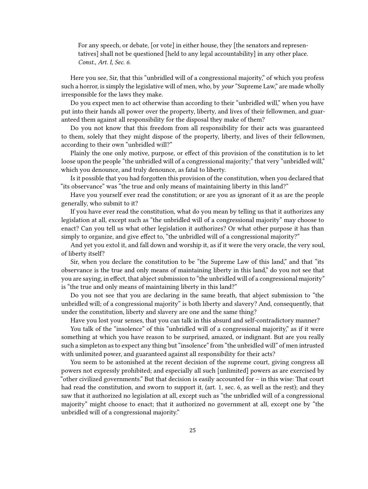For any speech, or debate, [or vote] in either house, they [the senators and representatives] shall not be questioned [held to any legal accountability] in any other place. *Const., Art. I, Sec. 6.*

Here you see, Sir, that this "unbridled will of a congressional majority," of which you profess such a horror, is simply the legislative will of men, who, by *your* "Supreme Law," are made wholly irresponsible for the laws they make.

Do you expect men to act otherwise than according to their "unbridled will," when you have put into their hands all power over the property, liberty, and lives of their fellowmen, and guaranteed them against all responsibility for the disposal they make of them?

Do you not know that this freedom from all responsibility for their acts was guaranteed to them, solely that they might dispose of the property, liberty, and lives of their fellowmen, according to their own "unbridled will?"

Plainly the one only motive, purpose, or effect of this provision of the constitution is to let loose upon the people "the unbridled will of a congressional majority;" that very "unbridled will," which you denounce, and truly denounce, as fatal to liberty.

Is it possible that you had forgotten this provision of the constitution, when you declared that "its observance" was "the true and only means of maintaining liberty in this land?"

Have you yourself ever read the constitution; or are you as ignorant of it as are the people generally, who submit to it?

If you have ever read the constitution, what do you mean by telling us that it authorizes any legislation at all, except such as "the unbridled will of a congressional majority" may choose to enact? Can you tell us what other legislation it authorizes? Or what other purpose it has than simply to organize, and give effect to, "the unbridled will of a congressional majority?"

And yet you extol it, and fall down and worship it, as if it were the very oracle, the very soul, of liberty itself?

Sir, when you declare the constitution to be "the Supreme Law of this land," and that "its observance is the true and only means of maintaining liberty in this land," do you not see that you are saying, in effect, that abject submission to "the unbridled will of a congressional majority" is "the true and only means of maintaining liberty in this land?"

Do you not see that you are declaring in the same breath, that abject submission to "the unbridled will; of a congressional majority" is both liberty and slavery? And, consequently, that under the constitution, liberty and slavery are one and the same thing?

Have you lost your senses, that you can talk in this absurd and self-contradictory manner?

You talk of the "insolence" of this "unbridled will of a congressional majority," as if it were something at which you have reason to be surprised, amazed, or indignant. But are you really such a simpleton as to expect any thing but "insolence" from "the unbridled will" of men intrusted with unlimited power, and guaranteed against all responsibility for their acts?

You seem to be astonished at the recent decision of the supreme court, giving congress all powers not expressly prohibited; and especially all such [unlimited] powers as are exercised by "other civilized governments." But that decision is easily accounted for – in this wise: That court had read the constitution, and sworn to support it, (art. 1, sec. 6, as well as the rest); and they saw that it authorized no legislation at all, except such as "the unbridled will of a congressional majority" might choose to enact; that it authorized no government at all, except one by "the unbridled will of a congressional majority."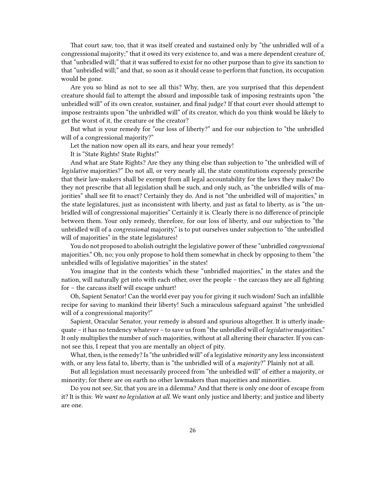That court saw, too, that it was itself created and sustained only by "the unbridled will of a congressional majority;" that it owed its very existence to, and was a mere dependent creature of, that "unbridled will;" that it was suffered to exist for no other purpose than to give its sanction to that "unbridled will;" and that, so soon as it should cease to perform that function, its occupation would be gone.

Are you so blind as not to see all this? Why, then, are you surprised that this dependent creature should fail to attempt the absurd and impossible task of imposing restraints upon "the unbridled will" of its own creator, sustainer, and final judge? If that court ever should attempt to impose restraints upon "the unbridled will" of its creator, which do you think would be likely to get the worst of it, the creature or the creator?

But what is your remedy for "our loss of liberty?" and for our subjection to "the unbridled will of a congressional majority?"

Let the nation now open all its ears, and hear your remedy!

It is "State Rights! State Rights!"

And what are State Rights? Are they any thing else than subjection to "the unbridled will of *legislative* majorities?" Do not all, or very nearly all, the state constitutions expressly prescribe that their law-makers shall be exempt from all legal accountability for the laws they make? Do they not prescribe that all legislation shall be such, and only such, as "the unbridled wills of majorities" shall see fit to enact? Certainly they do. And is not "the unbridled will of majorities," in the state legislatures, just as inconsistent with liberty, and just as fatal to liberty, as is "the unbridled will of congressional majorities" Certainly it is. Clearly there is no difference of principle between them. Your only remedy, therefore, for our loss of liberty, and our subjection to "the unbridled will of a *congressional* majority," is to put ourselves under subjection to "the unbridled will of majorities" in the state legislatures!

You do not proposed to abolish outright the legislative power of these "unbridled *congressional* majorities." Oh, no; you only propose to hold them somewhat in check by opposing to them "the unbridled wills of legislative majorities" in the states!

You imagine that in the contests which these "unbridled majorities," in the states and the nation, will naturally get into with each other, over the people – the carcass they are all fighting for – the carcass itself will escape unhurt!

Oh, Sapient Senator! Can the world ever pay you for giving it such wisdom! Such an infallible recipe for saving to mankind their liberty! Such a miraculous safeguard against "the unbridled will of a congressional majority!"

Sapient, Oracular Senator, your remedy is absurd and spurious altogether. It is utterly inadequate – it has no tendency whatever – to save us from "the unbridled will of *legislative* majorities." It only multiplies the number of such majorities, without at all altering their character. If you cannot see this, I repeat that you are mentally an object of pity.

What, then, is the remedy? Is "the unbridled will" of a legislative *minority* any less inconsistent with, or any less fatal to, liberty, than is "the unbridled will of a *majority*?" Plainly not at all.

But all legislation must necessarily proceed from "the unbridled will" of either a majority, or minority; for there are on earth no other lawmakers than majorities and minorities.

Do you not see, Sir, that you are in a dilemma? And that there is only one door of escape from it? It is this: *We want no legislation at all.* We want only justice and liberty; and justice and liberty are one.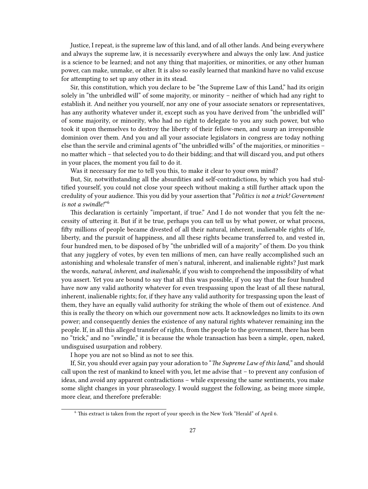Justice, I repeat, is the supreme law of this land, and of all other lands. And being everywhere and always the supreme law, it is necessarily everywhere and always the only law. And justice is a science to be learned; and not any thing that majorities, or minorities, or any other human power, can make, unmake, or alter. It is also so easily learned that mankind have no valid excuse for attempting to set up any other in its stead.

Sir, this constitution, which you declare to be "the Supreme Law of this Land," had its origin solely in "the unbridled will" of some majority, or minority – neither of which had any right to establish it. And neither you yourself, nor any one of your associate senators or representatives, has any authority whatever under it, except such as you have derived from "the unbridled will" of some majority, or minority, who had no right to delegate to you any such power, but who took it upon themselves to destroy the liberty of their fellow-men, and usurp an irresponsible dominion over them. And you and all your associate legislators in congress are today nothing else than the servile and criminal agents of "the unbridled wills" of the majorities, or minorities – no matter which – that selected you to do their bidding; and that will discard you, and put others in your places, the moment you fail to do it.

Was it necessary for me to tell you this, to make it clear to your own mind?

But, Sir, notwithstanding all the absurdities and self-contradictions, by which you had stultified yourself, you could not close your speech without making a still further attack upon the credulity of your audience. This you did by your assertion that "*Politics is not a trick! Government is not a swindle!*" 6

This declaration is certainly "important, if true." And I do not wonder that you felt the necessity of uttering it. But if it be true, perhaps you can tell us by what power, or what process, fifty millions of people became divested of all their natural, inherent, inalienable rights of life, liberty, and the pursuit of happiness, and all these rights became transferred to, and vested in, four hundred men, to be disposed of by "the unbridled will of a majority" of them. Do you think that any jugglery of votes, by even ten millions of men, can have really accomplished such an astonishing and wholesale transfer of men's natural, inherent, and inalienable rights? Just mark the words, *natural, inherent, and inalienable,* if you wish to comprehend the impossibility of what you assert. Yet you are bound to say that all this was possible, if you say that the four hundred have now any valid authority whatever for even trespassing upon the least of all these natural, inherent, inalienable rights; for, if they have any valid authority for trespassing upon the least of them, they have an equally valid authority for striking the whole of them out of existence. And this is really the theory on which our government now acts. It acknowledges no limits to its own power; and consequently denies the existence of any natural rights whatever remaining inn the people. If, in all this alleged transfer of rights, from the people to the government, there has been no "trick," and no "swindle," it is because the whole transaction has been a simple, open, naked, undisguised usurpation and robbery.

I hope you are not so blind as not to see this.

If, Sir, you should ever again pay your adoration to "*The Supreme Law of this land,*" and should call upon the rest of mankind to kneel with you, let me advise that – to prevent any confusion of ideas, and avoid any apparent contradictions – while expressing the same sentiments, you make some slight changes in your phraseology. I would suggest the following, as being more simple, more clear, and therefore preferable:

<sup>6</sup> This extract is taken from the report of your speech in the New York "Herald" of April 6.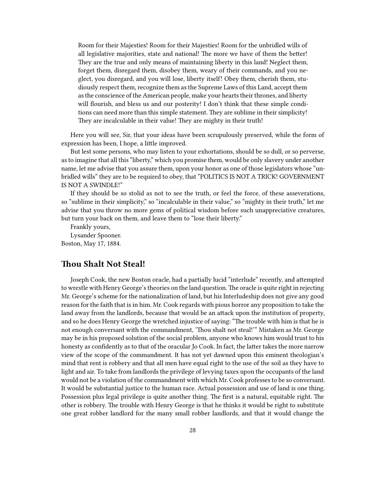Room for their Majesties! Room for their Majesties! Room for the unbridled wills of all legislative majorities, state and national! The more we have of them the better! They are the true and only means of maintaining liberty in this land! Neglect them, forget them, disregard them, disobey them, weary of their commands, and you neglect, you disregard, and you will lose, liberty itself! Obey them, cherish them, studiously respect them, recognize them as the Supreme Laws of this Land, accept them as the conscience of the American people, make your hearts their thrones, and liberty will flourish, and bless us and our posterity! I don't think that these simple conditions can need more than this simple statement. They are sublime in their simplicity! They are incalculable in their value! They are mighty in their truth!

Here you will see, Sir, that your ideas have been scrupulously preserved, while the form of expression has been, I hope, a little improved.

But lest some persons, who may listen to your exhortations, should be so dull, or so perverse, as to imagine that all this "liberty," which you promise them, would be only slavery under another name, let me advise that you assure them, upon your honor as one of those legislators whose "unbridled wills" they are to be required to obey, that "POLITICS IS NOT A TRICK! GOVERNMENT IS NOT A SWINDLE!"

If they should be so stolid as not to see the truth, or feel the force, of these asseverations, so "sublime in their simplicity," so "incalculable in their value," so "mighty in their truth," let me advise that you throw no more gems of political wisdom before such unappreciative creatures, but turn your back on them, and leave them to "lose their liberty."

Frankly yours, Lysander Spooner. Boston, May 17, 1884.

#### <span id="page-27-0"></span>**Thou Shalt Not Steal!**

Joseph Cook, the new Boston oracle, had a partially lucid "interlude" recently, and attempted to wrestle with Henry George's theories on the land question. The oracle is quite right in rejecting Mr. George's scheme for the nationalization of land, but his Interludeship does not give any good reason for the faith that is in him. Mr. Cook regards with pious horror any proposition to take the land away from the landlords, because that would be an attack upon the institution of property, and so he does Henry George the wretched injustice of saying: "The trouble with him is that he is not enough conversant with the commandment, 'Thou shalt not steal!'" Mistaken as Mr. George may be in his proposed solution of the social problem, anyone who knows him would trust to his honesty as confidently as to that of the oracular Jo Cook. In fact, the latter takes the more narrow view of the scope of the commandment. It has not yet dawned upon this eminent theologian's mind that rent is robbery and that all men have equal right to the use of the soil as they have to light and air. To take from landlords the privilege of levying taxes upon the occupants of the land would not be a violation of the commandment with which Mr. Cook professes to be so conversant. It would be substantial justice to the human race. Actual possession and use of land is one thing. Possession plus legal privilege is quite another thing. The first is a natural, equitable right. The other is robbery. The trouble with Henry George is that he thinks it would be right to substitute one great robber landlord for the many small robber landlords, and that it would change the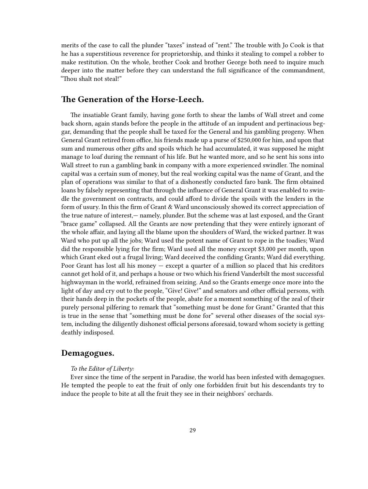merits of the case to call the plunder "taxes" instead of "rent." The trouble with Jo Cook is that he has a superstitious reverence for proprietorship, and thinks it stealing to compel a robber to make restitution. On the whole, brother Cook and brother George both need to inquire much deeper into the matter before they can understand the full significance of the commandment, "Thou shalt not steal!"

## <span id="page-28-0"></span>**The Generation of the Horse-Leech.**

The insatiable Grant family, having gone forth to shear the lambs of Wall street and come back shorn, again stands before the people in the attitude of an impudent and pertinacious beggar, demanding that the people shall be taxed for the General and his gambling progeny. When General Grant retired from office, his friends made up a purse of \$250,000 for him, and upon that sum and numerous other gifts and spoils which he had accumulated, it was supposed he might manage to loaf during the remnant of his life. But he wanted more, and so he sent his sons into Wall street to run a gambling bank in company with a more experienced swindler. The nominal capital was a certain sum of money, but the real working capital was the name of Grant, and the plan of operations was similar to that of a dishonestly conducted faro bank. The firm obtained loans by falsely representing that through the influence of General Grant it was enabled to swindle the government on contracts, and could afford to divide the spoils with the lenders in the form of usury. In this the firm of Grant & Ward unconsciously showed its correct appreciation of the true nature of interest,— namely, plunder. But the scheme was at last exposed, and the Grant "brace game" collapsed. All the Grants are now pretending that they were entirely ignorant of the whole affair, and laying all the blame upon the shoulders of Ward, the wicked partner. It was Ward who put up all the jobs; Ward used the potent name of Grant to rope in the toadies; Ward did the responsible lying for the firm; Ward used all the money except \$3,000 per month, upon which Grant eked out a frugal living; Ward deceived the confiding Grants; Ward did everything. Poor Grant has lost all his money — except a quarter of a million so placed that his creditors cannot get hold of it, and perhaps a house or two which his friend Vanderbilt the most successful highwayman in the world, refrained from seizing. And so the Grants emerge once more into the light of day and cry out to the people, "Give! Give!" and senators and other official persons, with their hands deep in the pockets of the people, abate for a moment something of the zeal of their purely personal pilfering to remark that "something must be done for Grant." Granted that this is true in the sense that "something must be done for" several other diseases of the social system, including the diligently dishonest official persons aforesaid, toward whom society is getting deathly indisposed.

#### <span id="page-28-1"></span>**Demagogues.**

#### *To the Editor of Liberty:*

Ever since the time of the serpent in Paradise, the world has been infested with demagogues. He tempted the people to eat the fruit of only one forbidden fruit but his descendants try to induce the people to bite at all the fruit they see in their neighbors' orchards.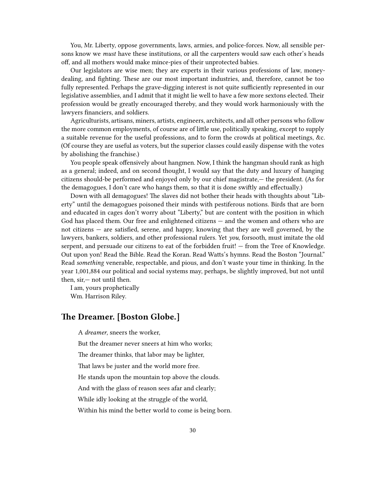You, Mr. Liberty, oppose governments, laws, armies, and police-forces. Now, all sensible persons know we *must* have these institutions, or all the carpenters would saw each other's heads off, and all mothers would make mince-pies of their unprotected babies.

Our legislators are wise men; they are experts in their various professions of law, moneydealing, and fighting. These are our most important industries, and, therefore, cannot be too fully represented. Perhaps the grave-digging interest is not quite sufficiently represented in our legislative assemblies, and I admit that it might lie well to have a few more sextons elected. Their profession would be greatly encouraged thereby, and they would work harmoniously with the lawyers financiers, and soldiers.

Agriculturists, artisans, miners, artists, engineers, architects, and all other persons who follow the more common employments, of course are of little use, politically speaking, except to supply a suitable revenue for the useful professions, and to form the crowds at political meetings, &c. (Of course they are useful as voters, but the superior classes could easily dispense with the votes by abolishing the franchise.)

You people speak offensively about hangmen. Now, I think the hangman should rank as high as a general; indeed, and on second thought, I would say that the duty and luxury of hanging citizens should-be performed and enjoyed only by our chief magistrate,— the president. (As for the demagogues, I don't care who hangs them, so that it is done swiftly and effectually.)

Down with all demagogues! The slaves did not bother their heads with thoughts about "Liberty" until the demagogues poisoned their minds with pestiferous notions. Birds that are born and educated in cages don't worry about "Liberty," but are content with the position in which God has placed them. Our free and enlightened citizens — and the women and others who are not citizens — are satisfied, serene, and happy, knowing that they are well governed, by the lawyers, bankers, soldiers, and other professional rulers. Yet *you*, forsooth, must imitate the old serpent, and persuade our citizens to eat of the forbidden fruit! — from the Tree of Knowledge. Out upon yon! Read the Bible. Read the Koran. Read Watts's hymns. Read the Boston "Journal." Read *something* venerable, respectable, and pious, and don't waste your time in thinking. In the year 1,001,884 our political and social systems may, perhaps, be slightly improved, but not until then, sir,— not until then.

I am, yours prophetically Wm. Harrison Riley.

## <span id="page-29-0"></span>**The Dreamer. [Boston Globe.]**

A *dreamer*, sneers the worker,

But the dreamer never sneers at him who works;

The dreamer thinks, that labor may be lighter,

That laws be juster and the world more free.

He stands upon the mountain top above the clouds.

And with the glass of reason sees afar and clearly;

While idly looking at the struggle of the world,

Within his mind the better world to come is being born.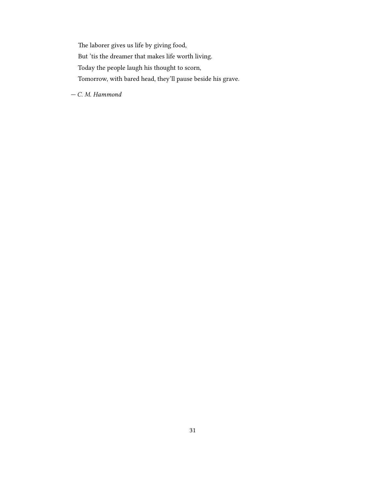The laborer gives us life by giving food, But 'tis the dreamer that makes life worth living. Today the people laugh his thought to scorn, Tomorrow, with bared head, they'll pause beside his grave.

*— C. M. Hammond*